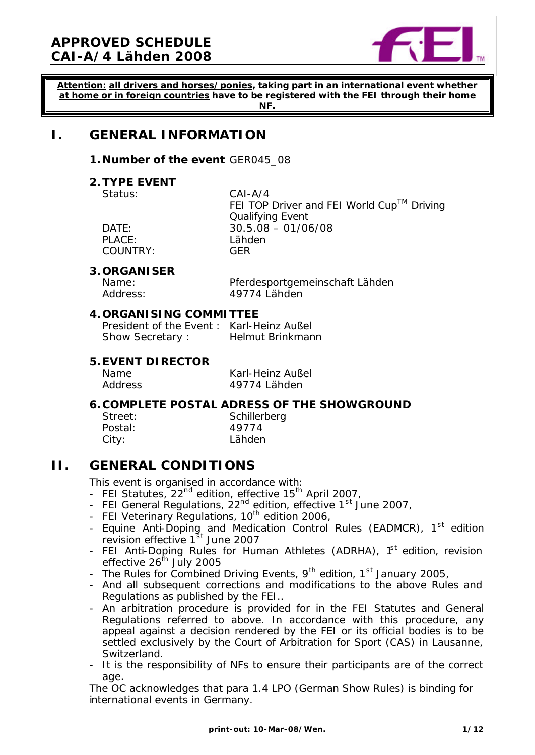

**Attention: all drivers and horses/ponies, taking part in an international event whether at home or in foreign countries have to be registered with the FEI through their home NF.**

# **I. GENERAL INFORMATION**

#### **1. Number of the event** GER045\_08

#### **2.TYPE EVENT**

Status: CAI-A/4

PLACE: Lähden COUNTRY: GER

FEI TOP Driver and FEI World  $Cup^{TM}$  Driving Qualifying Event DATE: 30.5.08 – 01/06/08

#### **3. ORGANISER**

Name: Pferdesportgemeinschaft Lähden Address: 49774 Lähden

#### **4. ORGANISING COMMITTEE**

President of the Event : Karl-Heinz Außel Show Secretary : Helmut Brinkmann

#### **5.EVENT DIRECTOR**

Name Karl-Heinz Außel Address 49774 Lähden

#### **6. COMPLETE POSTAL ADRESS OF THE SHOWGROUND** Schillerberg

Postal: 49774 Lähden

| Street: |  |
|---------|--|
| Postal: |  |
| City:   |  |

# **II. GENERAL CONDITIONS**

This event is organised in accordance with:

- FEI Statutes, 22<sup>nd</sup> edition, effective 15<sup>th</sup> April 2007,
- FEI General Regulations,  $22<sup>nd</sup>$  edition, effective  $1<sup>st</sup>$  June 2007,
- FEI Veterinary Regulations,  $10^{th}$  edition 2006,
- Equine Anti-Doping and Medication Control Rules (EADMCR), 1<sup>st</sup> edition revision effective 1<sup>st</sup> June 2007
- FEI Anti-Doping Rules for Human Athletes (ADRHA), 1<sup>st</sup> edition, revision effective  $26^{th}$  July 2005
- The Rules for Combined Driving Events,  $9^{th}$  edition,  $1^{st}$  January 2005,
- And all subsequent corrections and modifications to the above Rules and Regulations as published by the FEI..
- An arbitration procedure is provided for in the FEI Statutes and General Regulations referred to above. In accordance with this procedure, any appeal against a decision rendered by the FEI or its official bodies is to be settled exclusively by the Court of Arbitration for Sport (CAS) in Lausanne, Switzerland.
- It is the responsibility of NFs to ensure their participants are of the correct age.

The OC acknowledges that para 1.4 LPO (German Show Rules) is binding for international events in Germany.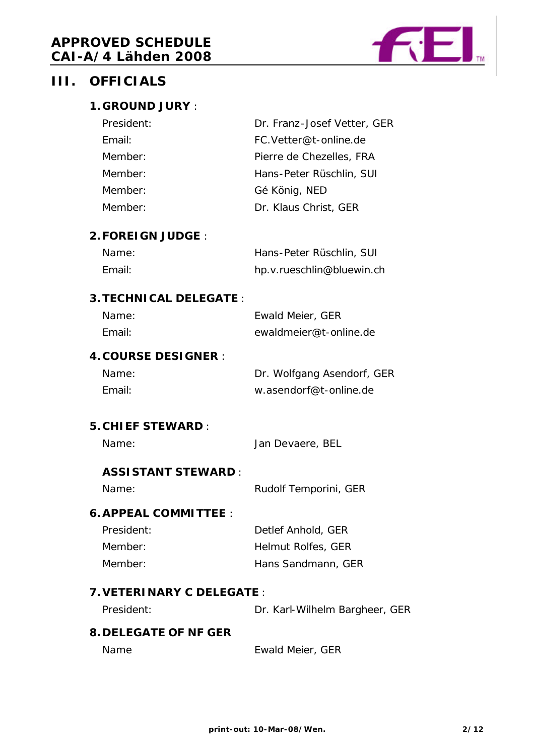

# **III. OFFICIALS**

### **1. GROUND JURY** :

| Dr. Franz-Josef Vetter, GER |
|-----------------------------|
| FC. Vetter@t-online.de      |
| Pierre de Chezelles, FRA    |
| Hans-Peter Rüschlin, SUI    |
| Gé König, NED               |
| Dr. Klaus Christ, GER       |
|                             |

#### **2.FOREIGN JUDGE** :

| Name:  | Hans-Peter Rüschlin, SUI  |
|--------|---------------------------|
| Email: | hp.v.rueschlin@bluewin.ch |

#### **3.TECHNICAL DELEGATE** :

| Name:  | Ewald Meier, GER       |
|--------|------------------------|
| Email: | ewaldmeier@t-online.de |

# **4. COURSE DESIGNER** :

Name: Dr. Wolfgang Asendorf, GER Email: w.asendorf@t-online.de

#### **5. CHIEF STEWARD** :

Name: Jan Devaere, BEL

### **ASSISTANT STEWARD** :

#### Name: Rudolf Temporini, GER

#### **6.APPEAL COMMITTEE** :

| President: | Detlef Anhold, GER |
|------------|--------------------|
| Member:    | Helmut Rolfes, GER |
| Member:    | Hans Sandmann, GER |

#### **7.VETERINARY C DELEGATE** :

President: Dr. Karl-Wilhelm Bargheer, GER

#### **8. DELEGATE OF NF GER**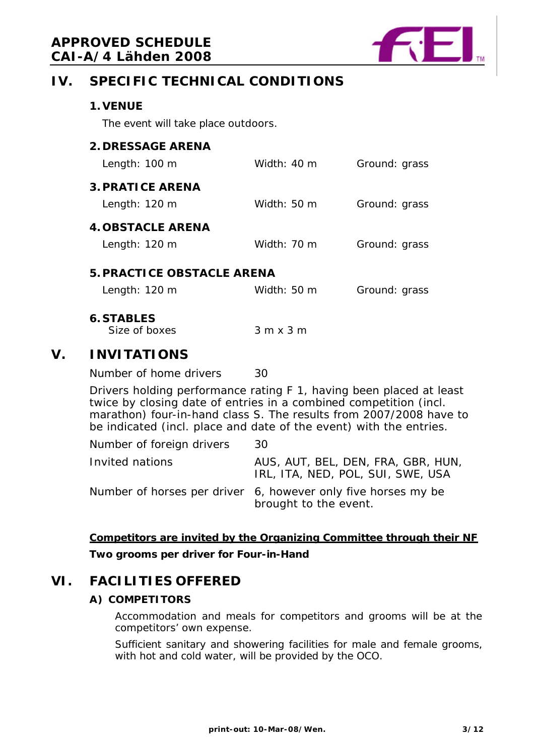

# **IV. SPECIFIC TECHNICAL CONDITIONS**

|    | <b>1. VENUE</b>                                                                                                                                                                                                                                                                      |                |               |
|----|--------------------------------------------------------------------------------------------------------------------------------------------------------------------------------------------------------------------------------------------------------------------------------------|----------------|---------------|
|    | The event will take place outdoors.                                                                                                                                                                                                                                                  |                |               |
|    | <b>2. DRESSAGE ARENA</b><br>Length: 100 m                                                                                                                                                                                                                                            | Width: 40 m    | Ground: grass |
|    | <b>3. PRATICE ARENA</b><br>Length: 120 m                                                                                                                                                                                                                                             | Width: 50 m    | Ground: grass |
|    | <b>4. OBSTACLE ARENA</b><br>Length: 120 m                                                                                                                                                                                                                                            | Width: 70 m    | Ground: grass |
|    | <b>5. PRACTICE OBSTACLE ARENA</b>                                                                                                                                                                                                                                                    |                |               |
|    | Length: 120 m                                                                                                                                                                                                                                                                        | Width: 50 m    | Ground: grass |
|    | <b>6. STABLES</b><br>Size of boxes                                                                                                                                                                                                                                                   | $3m \times 3m$ |               |
| V. | <b>INVITATIONS</b>                                                                                                                                                                                                                                                                   |                |               |
|    | Number of home drivers                                                                                                                                                                                                                                                               | 30             |               |
|    | Drivers holding performance rating F 1, having been placed at least<br>twice by closing date of entries in a combined competition (incl.<br>marathon) four-in-hand class S. The results from 2007/2008 have to<br>be indicated (incl. place and date of the event) with the entries. |                |               |

| Number of foreign drivers | 30                                                                                     |
|---------------------------|----------------------------------------------------------------------------------------|
| Invited nations           | AUS, AUT, BEL, DEN, FRA, GBR, HUN,<br>IRL, ITA, NED, POL, SUI, SWE, USA                |
|                           | Number of horses per driver 6, however only five horses my be<br>brought to the event. |

# **Competitors are invited by the Organizing Committee through their NF Two grooms per driver for Four-in-Hand**

# **VI. FACILITIES OFFERED**

### **A) COMPETITORS**

Accommodation and meals for competitors and grooms will be at the competitors' own expense.

Sufficient sanitary and showering facilities for male and female grooms, with hot and cold water, will be provided by the OCO.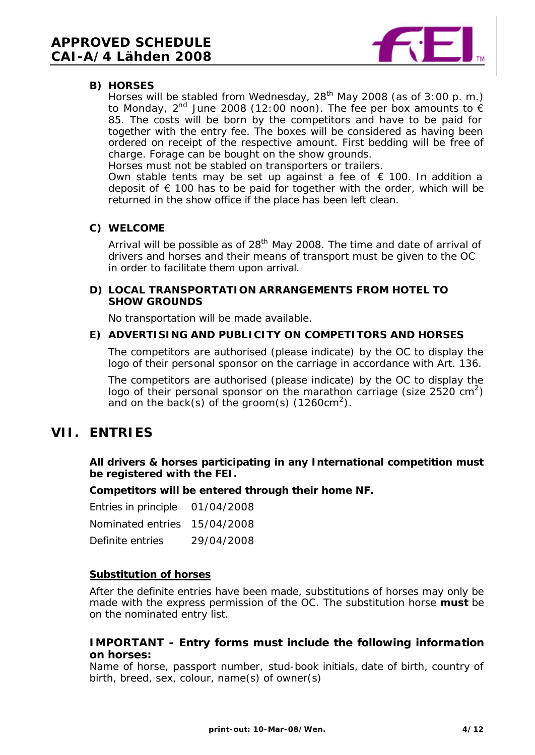

#### **B) HORSES**

Horses will be stabled from Wednesday,  $28<sup>th</sup>$  May 2008 (as of 3:00 p.m.) to Monday, 2<sup>nd</sup> June 2008 (12:00 noon). The fee per box amounts to  $\epsilon$ 85. The costs will be born by the competitors and have to be paid for together with the entry fee. The boxes will be considered as having been ordered on receipt of the respective amount. First bedding will be free of charge. Forage can be bought on the show grounds.

Horses must not be stabled on transporters or trailers.

Own stable tents may be set up against a fee of  $\epsilon$  100. In addition a deposit of  $\epsilon$  100 has to be paid for together with the order, which will be returned in the show office if the place has been left clean.

#### **C) WELCOME**

Arrival will be possible as of  $28<sup>th</sup>$  May 2008. The time and date of arrival of drivers and horses and their means of transport must be given to the OC in order to facilitate them upon arrival.

#### **D) LOCAL TRANSPORTATION ARRANGEMENTS FROM HOTEL TO SHOW GROUNDS**

No transportation will be made available.

#### **E) ADVERTISING AND PUBLICITY ON COMPETITORS AND HORSES**

The competitors are authorised (please indicate) by the OC to display the logo of their personal sponsor on the carriage in accordance with Art. 136.

The competitors are authorised (please indicate) by the OC to display the logo of their personal sponsor on the marathon carriage (size 2520  $\text{cm}^2$ ) and on the back(s) of the groom(s) (1260cm<sup>2</sup>).

# **VII. ENTRIES**

**All drivers & horses participating in any International competition must be registered with the FEI.**

**Competitors will be entered through their home NF.**

| Entries in principle 01/04/2008 |            |
|---------------------------------|------------|
| Nominated entries 15/04/2008    |            |
| Definite entries                | 29/04/2008 |

#### **Substitution of horses**

After the definite entries have been made, substitutions of horses may only be made with the express permission of the OC. The substitution horse **must** be on the nominated entry list.

#### **IMPORTANT - Entry forms must include the following information on horses:**

Name of horse, passport number, stud-book initials, date of birth, country of birth, breed, sex, colour, name(s) of owner(s)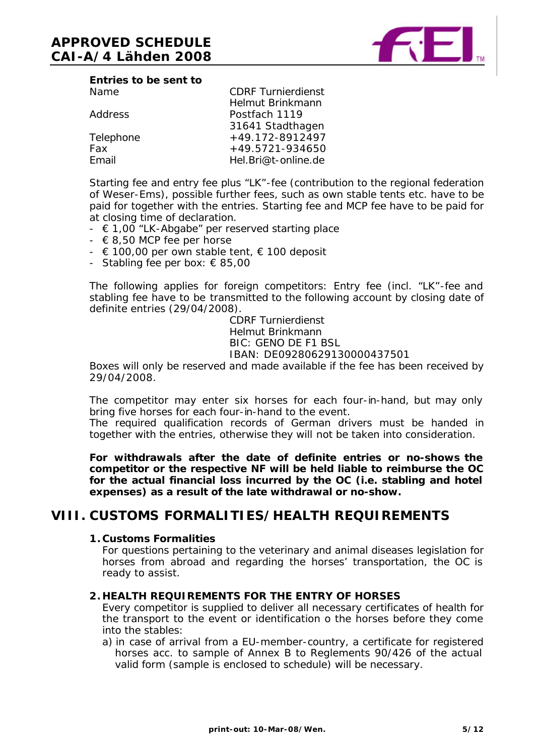

| Entries to be sent to |  |  |
|-----------------------|--|--|
| Name                  |  |  |

|                | Helmut Brinkmann    |
|----------------|---------------------|
| <b>Address</b> | Postfach 1119       |
|                | 31641 Stadthagen    |
| Telephone      | +49.172-8912497     |
| Fax            | $+49.5721 - 934650$ |
| Email          | Hel.Bri@t-online.de |
|                |                     |

Starting fee and entry fee plus "LK"-fee (contribution to the regional federation of Weser-Ems), possible further fees, such as own stable tents etc. have to be paid for together with the entries. Starting fee and MCP fee have to be paid for at closing time of declaration.

CDRF Turnierdienst

- $\in 1,00$  "LK-Abgabe" per reserved starting place
- $\epsilon$  8,50 MCP fee per horse
- $\in$  100,00 per own stable tent,  $\in$  100 deposit
- Stabling fee per box:  $\epsilon$  85,00

The following applies for foreign competitors: Entry fee (incl. "LK"-fee and stabling fee have to be transmitted to the following account by closing date of definite entries (29/04/2008).

> CDRF Turnierdienst Helmut Brinkmann BIC: GENO DE F1 BSL IBAN: DE09280629130000437501

Boxes will only be reserved and made available if the fee has been received by 29/04/2008.

The competitor may enter six horses for each four-in-hand, but may only bring five horses for each four-in-hand to the event.

The required qualification records of German drivers must be handed in together with the entries, otherwise they will not be taken into consideration.

**For withdrawals after the date of definite entries or no-shows the competitor or the respective NF will be held liable to reimburse the OC for the actual financial loss incurred by the OC (i.e. stabling and hotel expenses) as a result of the late withdrawal or no-show.**

# **VIII. CUSTOMS FORMALITIES/HEALTH REQUIREMENTS**

#### **1. Customs Formalities**

For questions pertaining to the veterinary and animal diseases legislation for horses from abroad and regarding the horses' transportation, the OC is ready to assist.

#### **2. HEALTH REQUIREMENTS FOR THE ENTRY OF HORSES**

Every competitor is supplied to deliver all necessary certificates of health for the transport to the event or identification o the horses before they come into the stables:

a) in case of arrival from a EU-member-country, a certificate for registered horses acc. to sample of Annex B to Reglements 90/426 of the actual valid form (sample is enclosed to schedule) will be necessary.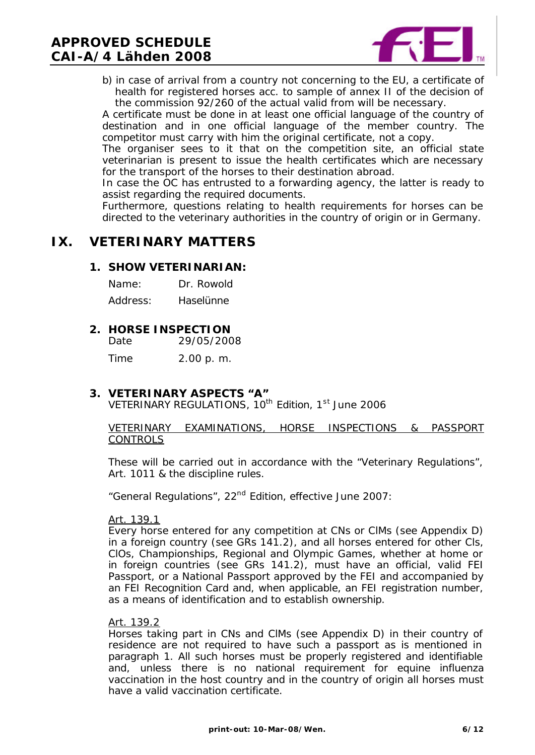# **APPROVED SCHEDULE CAI-A/4 Lähden 2008**



b) in case of arrival from a country not concerning to the EU, a certificate of health for registered horses acc. to sample of annex II of the decision of the commission 92/260 of the actual valid from will be necessary.

A certificate must be done in at least one official language of the country of destination and in one official language of the member country. The competitor must carry with him the original certificate, not a copy.

The organiser sees to it that on the competition site, an official state veterinarian is present to issue the health certificates which are necessary for the transport of the horses to their destination abroad.

In case the OC has entrusted to a forwarding agency, the latter is ready to assist regarding the required documents.

Furthermore, questions relating to health requirements for horses can be directed to the veterinary authorities in the country of origin or in Germany.

# **IX. VETERINARY MATTERS**

#### **1. SHOW VETERINARIAN:**

| Name:    | Dr. Rowold |
|----------|------------|
| Address: | Haselünne  |

#### **2. HORSE INSPECTION**

Date 29/05/2008

Time 2.00 p. m.

#### **3. VETERINARY ASPECTS "A"**

VETERINARY REGULATIONS, 10<sup>th</sup> Edition, 1<sup>st</sup> June 2006

#### VETERINARY EXAMINATIONS, HORSE INSPECTIONS & PASSPORT CONTROLS

These will be carried out in accordance with the "Veterinary Regulations", Art. 1011 & the discipline rules.

"General Regulations", 22<sup>nd</sup> Edition, effective June 2007:

#### Art. 139.1

Every horse entered for any competition at CNs or ClMs (see Appendix D) in a foreign country (see GRs 141.2), and all horses entered for other Cls, ClOs, Championships, Regional and Olympic Games, whether at home or in foreign countries (see GRs 141.2), must have an official, valid FEI Passport, or a National Passport approved by the FEI and accompanied by an FEI Recognition Card and, when applicable, an FEI registration number, as a means of identification and to establish ownership.

#### Art. 139.2

Horses taking part in CNs and ClMs (see Appendix D) in their country of residence are not required to have such a passport as is mentioned in paragraph 1. All such horses must be properly registered and identifiable and, unless there is no national requirement for equine influenza vaccination in the host country and in the country of origin all horses must have a valid vaccination certificate.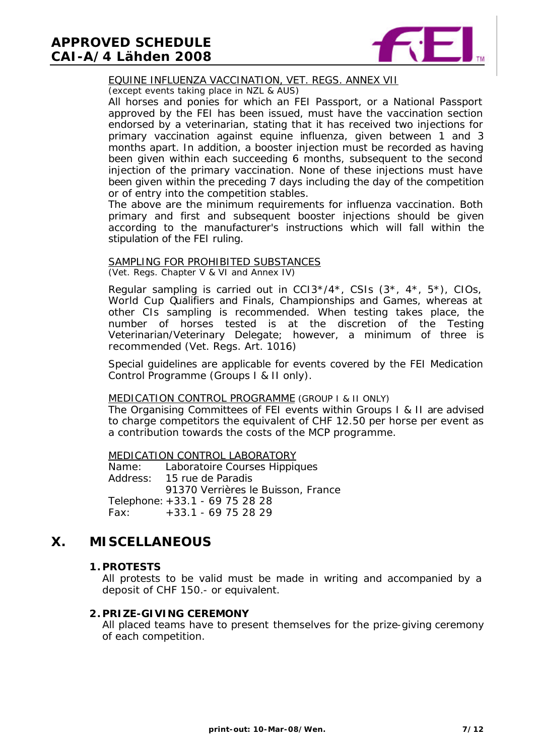# **APPROVED SCHEDULE CAI-A/4 Lähden 2008**



#### EQUINE INFLUENZA VACCINATION, VET. REGS. ANNEX VII

(except events taking place in NZL & AUS)

All horses and ponies for which an FEI Passport, or a National Passport approved by the FEI has been issued, must have the vaccination section endorsed by a veterinarian, stating that it has received two injections for primary vaccination against equine influenza, given between 1 and 3 months apart. In addition, a booster injection must be recorded as having been given within each succeeding 6 months, subsequent to the second injection of the primary vaccination. None of these injections must have been given within the preceding 7 days including the day of the competition or of entry into the competition stables.

The above are the minimum requirements for influenza vaccination. Both primary and first and subsequent booster injections should be given according to the manufacturer's instructions which will fall within the stipulation of the FEI ruling.

#### SAMPLING FOR PROHIBITED SUBSTANCES

(Vet. Regs. Chapter V & VI and Annex IV)

Regular sampling is carried out in  $CCI3*/4*$ ,  $CSIs$   $(3*, 4*, 5*)$ ,  $CIOs$ , World Cup Qualifiers and Finals, Championships and Games, whereas at other CIs sampling is recommended. When testing takes place, the number of horses tested is at the discretion of the Testing Veterinarian/Veterinary Delegate; however, a minimum of three is recommended (Vet. Regs. Art. 1016)

Special guidelines are applicable for events covered by the FEI Medication Control Programme (Groups I & II only).

#### MEDICATION CONTROL PROGRAMME (GROUP I & II ONLY)

The Organising Committees of FEI events within Groups I & II are advised to charge competitors the equivalent of CHF 12.50 per horse per event as a contribution towards the costs of the MCP programme.

MEDICATION CONTROL LABORATORY

Name: Laboratoire Courses Hippiques Address: 15 rue de Paradis 91370 Verrières le Buisson, France Telephone:+33.1 - 69 75 28 28 Fax: +33.1 - 69 75 28 29

# **X. MISCELLANEOUS**

#### **1. PROTESTS**

All protests to be valid must be made in writing and accompanied by a deposit of CHF 150.- or equivalent.

#### **2. PRIZE-GIVING CEREMONY**

All placed teams have to present themselves for the prize-giving ceremony of each competition.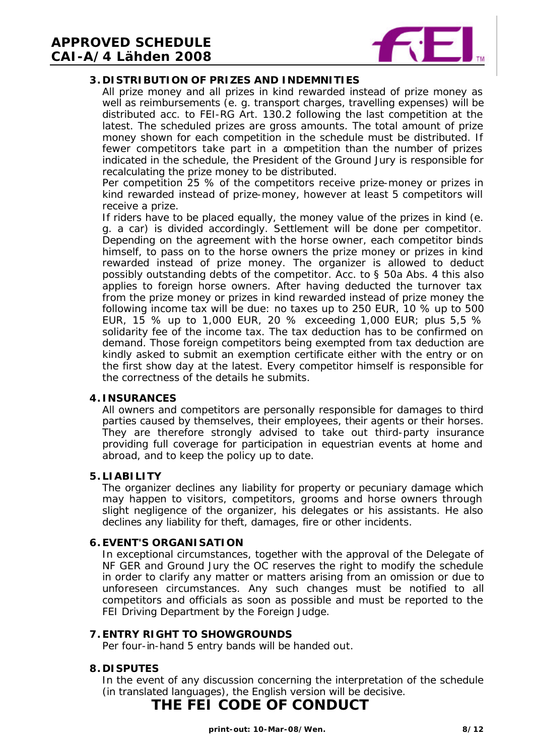

#### **3. DISTRIBUTION OF PRIZES AND INDEMNITIES**

All prize money and all prizes in kind rewarded instead of prize money as well as reimbursements (e. g. transport charges, travelling expenses) will be distributed acc. to FEI-RG Art. 130.2 following the last competition at the latest. The scheduled prizes are gross amounts. The total amount of prize money shown for each competition in the schedule must be distributed. If fewer competitors take part in a competition than the number of prizes indicated in the schedule, the President of the Ground Jury is responsible for recalculating the prize money to be distributed.

Per competition 25 % of the competitors receive prize-money or prizes in kind rewarded instead of prize-money, however at least 5 competitors will receive a prize.

If riders have to be placed equally, the money value of the prizes in kind (e. g. a car) is divided accordingly. Settlement will be done per competitor. Depending on the agreement with the horse owner, each competitor binds himself, to pass on to the horse owners the prize money or prizes in kind rewarded instead of prize money. The organizer is allowed to deduct possibly outstanding debts of the competitor. Acc. to § 50a Abs. 4 this also applies to foreign horse owners. After having deducted the turnover tax from the prize money or prizes in kind rewarded instead of prize money the following income tax will be due: no taxes up to 250 EUR, 10 % up to 500 EUR, 15 % up to 1,000 EUR, 20 % exceeding 1,000 EUR; plus 5,5 % solidarity fee of the income tax. The tax deduction has to be confirmed on demand. Those foreign competitors being exempted from tax deduction are kindly asked to submit an exemption certificate either with the entry or on the first show day at the latest. Every competitor himself is responsible for the correctness of the details he submits.

#### **4. INSURANCES**

All owners and competitors are personally responsible for damages to third parties caused by themselves, their employees, their agents or their horses. They are therefore strongly advised to take out third-party insurance providing full coverage for participation in equestrian events at home and abroad, and to keep the policy up to date.

#### **5. LIABILITY**

The organizer declines any liability for property or pecuniary damage which may happen to visitors, competitors, grooms and horse owners through slight negligence of the organizer, his delegates or his assistants. He also declines any liability for theft, damages, fire or other incidents.

#### **6.EVENT'S ORGANISATION**

In exceptional circumstances, together with the approval of the Delegate of NF GER and Ground Jury the OC reserves the right to modify the schedule in order to clarify any matter or matters arising from an omission or due to unforeseen circumstances. Any such changes must be notified to all competitors and officials as soon as possible and must be reported to the FEI Driving Department by the Foreign Judge.

#### **7.ENTRY RIGHT TO SHOWGROUNDS**

Per four-in-hand 5 entry bands will be handed out.

#### **8. DISPUTES**

In the event of any discussion concerning the interpretation of the schedule (in translated languages), the English version will be decisive.

# **THE FEI CODE OF CONDUCT**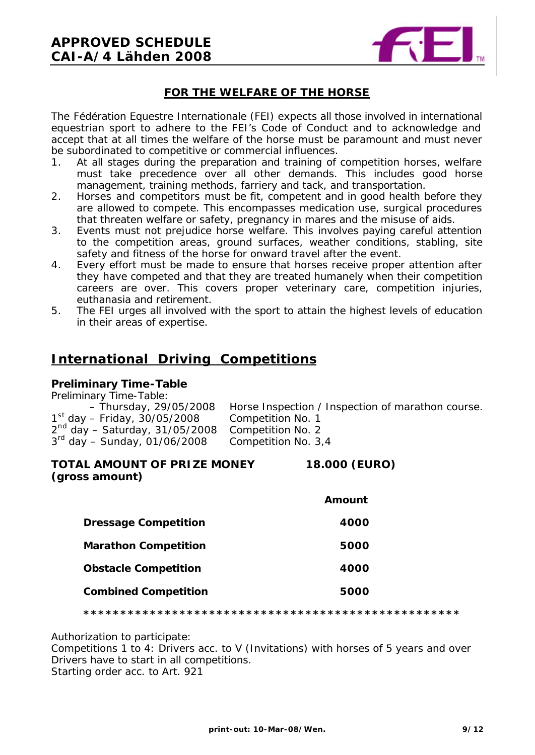

#### **FOR THE WELFARE OF THE HORSE**

The Fédération Equestre Internationale (FEI) expects all those involved in international equestrian sport to adhere to the FEI's Code of Conduct and to acknowledge and accept that at all times the welfare of the horse must be paramount and must never be subordinated to competitive or commercial influences.

- 1. At all stages during the preparation and training of competition horses, welfare must take precedence over all other demands. This includes good horse management, training methods, farriery and tack, and transportation.
- 2. Horses and competitors must be fit, competent and in good health before they are allowed to compete. This encompasses medication use, surgical procedures that threaten welfare or safety, pregnancy in mares and the misuse of aids.
- 3. Events must not prejudice horse welfare. This involves paying careful attention to the competition areas, ground surfaces, weather conditions, stabling, site safety and fitness of the horse for onward travel after the event.
- 4. Every effort must be made to ensure that horses receive proper attention after they have competed and that they are treated humanely when their competition careers are over. This covers proper veterinary care, competition injuries, euthanasia and retirement.
- 5. The FEI urges all involved with the sport to attain the highest levels of education in their areas of expertise.

# **International Driving Competitions**

#### **Preliminary Time-Table**

| Preliminary Time-Table:           |                                                   |
|-----------------------------------|---------------------------------------------------|
| - Thursday, 29/05/2008            | Horse Inspection / Inspection of marathon course. |
| $1^{st}$ day – Friday, 30/05/2008 | Competition No. 1                                 |
| $2nd$ day – Saturday, 31/05/2008  | Competition No. 2                                 |
| $3^{rd}$ day – Sunday, 01/06/2008 | Competition No. 3,4                               |

#### **TOTAL AMOUNT OF PRIZE MONEY 18.000 (EURO) (gross amount)**

|                             | Amount |
|-----------------------------|--------|
| <b>Dressage Competition</b> | 4000   |
| <b>Marathon Competition</b> | 5000   |
| <b>Obstacle Competition</b> | 4000   |
| <b>Combined Competition</b> | 5000   |

**\*\*\*\*\*\*\*\*\*\*\*\*\*\*\*\*\*\*\*\*\*\*\*\*\*\*\*\*\*\*\*\*\*\*\*\*\*\*\*\*\*\*\*\*\*\*\*\*\*\*\***

Authorization to participate:

Competitions 1 to 4: Drivers acc. to V (Invitations) with horses of 5 years and over Drivers have to start in all competitions.

Starting order acc. to Art. 921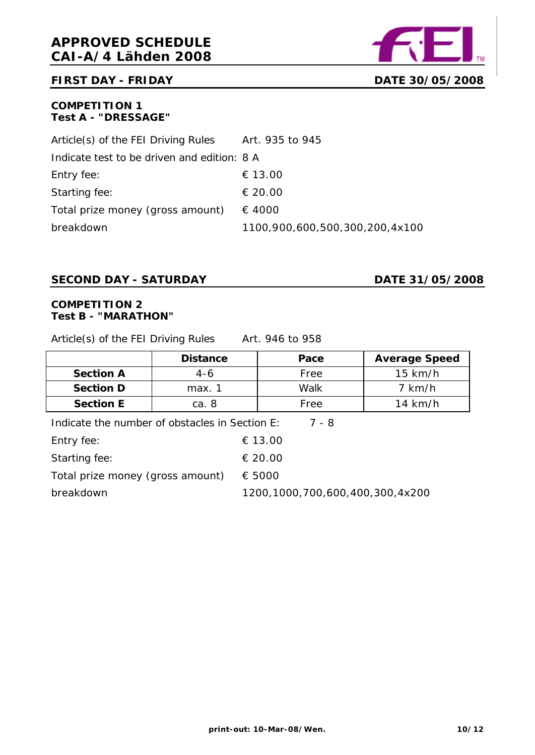

#### **FIRST DAY - FRIDAY DATE 30/05/2008**

#### **COMPETITION 1 Test A - "DRESSAGE"**

| Article(s) of the FEI Driving Rules         | Art. 935 to 945                |
|---------------------------------------------|--------------------------------|
| Indicate test to be driven and edition: 8 A |                                |
| Entry fee:                                  | € 13.00                        |
| Starting fee:                               | € 20.00                        |
| Total prize money (gross amount)            | € 4000                         |
| breakdown                                   | 1100,900,600,500,300,200,4x100 |

#### **SECOND DAY - SATURDAY**  DATE 31/05/2008

#### **COMPETITION 2 Test B - "MARATHON"**

Article(s) of the FEI Driving Rules Art. 946 to 958

|                                                         | <b>Distance</b> | Pace      | <b>Average Speed</b> |
|---------------------------------------------------------|-----------------|-----------|----------------------|
| <b>Section A</b>                                        | 4-6             | Free      | $15$ km/h            |
| <b>Section D</b>                                        | max. 1          | Walk      | $7$ km/h             |
| <b>Section E</b>                                        | ca. 8           | Free      | $14$ km/h            |
| Indicate the number of obstacles in Section E:<br>7 - 8 |                 |           |                      |
|                                                         |                 | - - - - - |                      |

| Entry fee:                       | € 13.00                         |
|----------------------------------|---------------------------------|
| Starting fee:                    | € 20.00                         |
| Total prize money (gross amount) | € 5000                          |
| breakdown                        | 1200,1000,700,600,400,300,4x200 |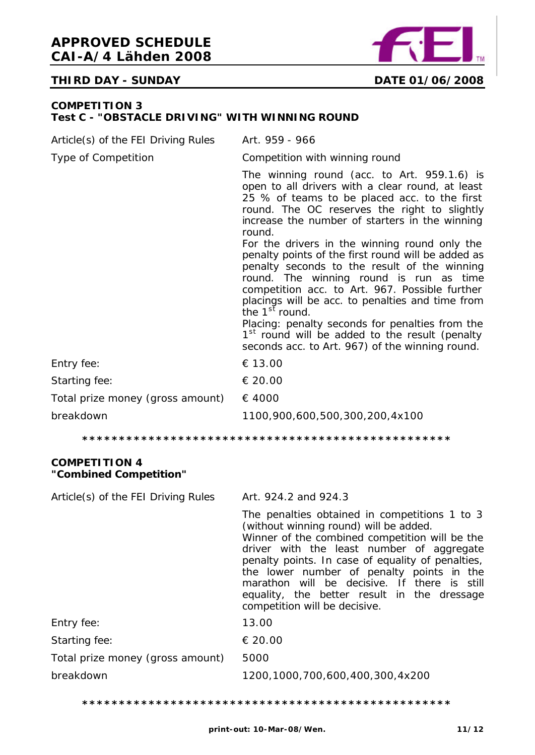

#### **THIRD DAY - SUNDAY DATE 01/06/2008**

#### **COMPETITION 3 Test C - "OBSTACLE DRIVING" WITH WINNING ROUND**

| Article(s) of the FEI Driving Rules | Art. 959 - 966                                                                                                                                                                                                                                                                                                                                                                                                                                                                                                                                                      |
|-------------------------------------|---------------------------------------------------------------------------------------------------------------------------------------------------------------------------------------------------------------------------------------------------------------------------------------------------------------------------------------------------------------------------------------------------------------------------------------------------------------------------------------------------------------------------------------------------------------------|
| Type of Competition                 | Competition with winning round                                                                                                                                                                                                                                                                                                                                                                                                                                                                                                                                      |
|                                     | The winning round (acc. to Art. 959.1.6) is<br>open to all drivers with a clear round, at least<br>25 % of teams to be placed acc. to the first<br>round. The OC reserves the right to slightly<br>increase the number of starters in the winning<br>round.<br>For the drivers in the winning round only the<br>penalty points of the first round will be added as<br>penalty seconds to the result of the winning<br>round. The winning round is run as time<br>competition acc. to Art. 967. Possible further<br>placings will be acc. to penalties and time from |
|                                     | the $1st$ round.<br>Placing: penalty seconds for penalties from the                                                                                                                                                                                                                                                                                                                                                                                                                                                                                                 |
|                                     | 1 <sup>st</sup> round will be added to the result (penalty<br>seconds acc. to Art. 967) of the winning round.                                                                                                                                                                                                                                                                                                                                                                                                                                                       |
| Entry fee:                          | € 13.00                                                                                                                                                                                                                                                                                                                                                                                                                                                                                                                                                             |
| Starting fee:                       | € 20.00                                                                                                                                                                                                                                                                                                                                                                                                                                                                                                                                                             |
| Total prize money (gross amount)    | € 4000                                                                                                                                                                                                                                                                                                                                                                                                                                                                                                                                                              |
| breakdown                           | 1100,900,600,500,300,200,4x100                                                                                                                                                                                                                                                                                                                                                                                                                                                                                                                                      |

**\*\*\*\*\*\*\*\*\*\*\*\*\*\*\*\*\*\*\*\*\*\*\*\*\*\*\*\*\*\*\*\*\*\*\*\*\*\*\*\*\*\*\*\*\*\*\*\*\*\***

#### **COMPETITION 4 "Combined Competition"**

| Article(s) of the FEI Driving Rules | Art. 924.2 and 924.3                                                                                                                                                                                                                                                                                                                                                                                                     |
|-------------------------------------|--------------------------------------------------------------------------------------------------------------------------------------------------------------------------------------------------------------------------------------------------------------------------------------------------------------------------------------------------------------------------------------------------------------------------|
|                                     | The penalties obtained in competitions 1 to 3<br>(without winning round) will be added.<br>Winner of the combined competition will be the<br>driver with the least number of aggregate<br>penalty points. In case of equality of penalties,<br>the lower number of penalty points in the<br>marathon will be decisive. If there is still<br>equality, the better result in the dressage<br>competition will be decisive. |
| Entry fee:                          | 13.00                                                                                                                                                                                                                                                                                                                                                                                                                    |
| Starting fee:                       | € 20.00                                                                                                                                                                                                                                                                                                                                                                                                                  |
| Total prize money (gross amount)    | 5000                                                                                                                                                                                                                                                                                                                                                                                                                     |
| breakdown                           | 1200,1000,700,600,400,300,4x200                                                                                                                                                                                                                                                                                                                                                                                          |

**\*\*\*\*\*\*\*\*\*\*\*\*\*\*\*\*\*\*\*\*\*\*\*\*\*\*\*\*\*\*\*\*\*\*\*\*\*\*\*\*\*\*\*\*\*\*\*\*\*\***